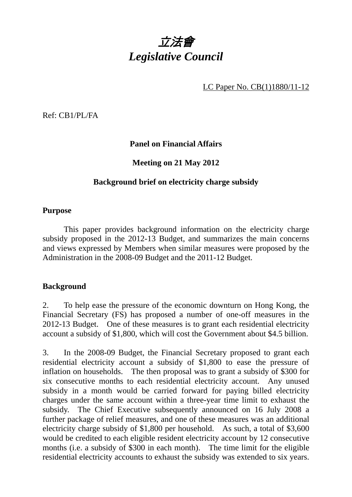

LC Paper No. CB(1)1880/11-12

Ref: CB1/PL/FA

## **Panel on Financial Affairs**

#### **Meeting on 21 May 2012**

#### **Background brief on electricity charge subsidy**

#### **Purpose**

 This paper provides background information on the electricity charge subsidy proposed in the 2012-13 Budget, and summarizes the main concerns and views expressed by Members when similar measures were proposed by the Administration in the 2008-09 Budget and the 2011-12 Budget.

#### **Background**

2. To help ease the pressure of the economic downturn on Hong Kong, the Financial Secretary (FS) has proposed a number of one-off measures in the 2012-13 Budget. One of these measures is to grant each residential electricity account a subsidy of \$1,800, which will cost the Government about \$4.5 billion.

3. In the 2008-09 Budget, the Financial Secretary proposed to grant each residential electricity account a subsidy of \$1,800 to ease the pressure of inflation on households. The then proposal was to grant a subsidy of \$300 for six consecutive months to each residential electricity account. Any unused subsidy in a month would be carried forward for paying billed electricity charges under the same account within a three-year time limit to exhaust the subsidy. The Chief Executive subsequently announced on 16 July 2008 a further package of relief measures, and one of these measures was an additional electricity charge subsidy of \$1,800 per household. As such, a total of \$3,600 would be credited to each eligible resident electricity account by 12 consecutive months (i.e. a subsidy of \$300 in each month). The time limit for the eligible residential electricity accounts to exhaust the subsidy was extended to six years.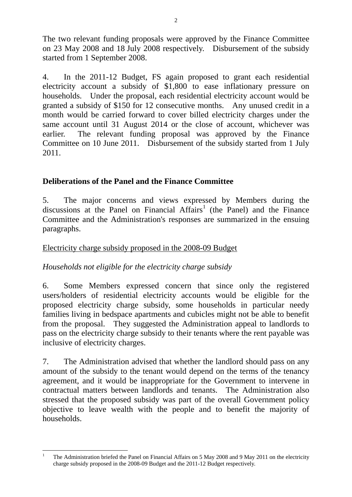The two relevant funding proposals were approved by the Finance Committee on 23 May 2008 and 18 July 2008 respectively. Disbursement of the subsidy started from 1 September 2008.

4. In the 2011-12 Budget, FS again proposed to grant each residential electricity account a subsidy of \$1,800 to ease inflationary pressure on households. Under the proposal, each residential electricity account would be granted a subsidy of \$150 for 12 consecutive months. Any unused credit in a month would be carried forward to cover billed electricity charges under the same account until 31 August 2014 or the close of account, whichever was earlier. The relevant funding proposal was approved by the Finance Committee on 10 June 2011. Disbursement of the subsidy started from 1 July 2011.

## **Deliberations of the Panel and the Finance Committee**

5. The major concerns and views expressed by Members during the discussions at the Panel on Financial  $Affairs<sup>1</sup>$  (the Panel) and the Finance Committee and the Administration's responses are summarized in the ensuing paragraphs.

#### Electricity charge subsidy proposed in the 2008-09 Budget

## *Households not eligible for the electricity charge subsidy*

6. Some Members expressed concern that since only the registered users/holders of residential electricity accounts would be eligible for the proposed electricity charge subsidy, some households in particular needy families living in bedspace apartments and cubicles might not be able to benefit from the proposal. They suggested the Administration appeal to landlords to pass on the electricity charge subsidy to their tenants where the rent payable was inclusive of electricity charges.

7. The Administration advised that whether the landlord should pass on any amount of the subsidy to the tenant would depend on the terms of the tenancy agreement, and it would be inappropriate for the Government to intervene in contractual matters between landlords and tenants. The Administration also stressed that the proposed subsidy was part of the overall Government policy objective to leave wealth with the people and to benefit the majority of households.

 $\frac{1}{1}$  The Administration briefed the Panel on Financial Affairs on 5 May 2008 and 9 May 2011 on the electricity charge subsidy proposed in the 2008-09 Budget and the 2011-12 Budget respectively.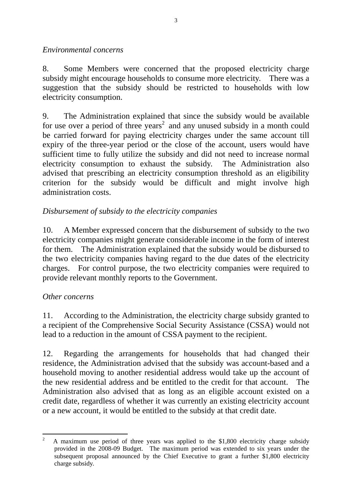#### *Environmental concerns*

8. Some Members were concerned that the proposed electricity charge subsidy might encourage households to consume more electricity. There was a suggestion that the subsidy should be restricted to households with low electricity consumption.

9. The Administration explained that since the subsidy would be available for use over a period of three years<sup>2</sup> and any unused subsidy in a month could be carried forward for paying electricity charges under the same account till expiry of the three-year period or the close of the account, users would have sufficient time to fully utilize the subsidy and did not need to increase normal electricity consumption to exhaust the subsidy. The Administration also advised that prescribing an electricity consumption threshold as an eligibility criterion for the subsidy would be difficult and might involve high administration costs.

# *Disbursement of subsidy to the electricity companies*

10. A Member expressed concern that the disbursement of subsidy to the two electricity companies might generate considerable income in the form of interest for them. The Administration explained that the subsidy would be disbursed to the two electricity companies having regard to the due dates of the electricity charges. For control purpose, the two electricity companies were required to provide relevant monthly reports to the Government.

## *Other concerns*

11. According to the Administration, the electricity charge subsidy granted to a recipient of the Comprehensive Social Security Assistance (CSSA) would not lead to a reduction in the amount of CSSA payment to the recipient.

12. Regarding the arrangements for households that had changed their residence, the Administration advised that the subsidy was account-based and a household moving to another residential address would take up the account of the new residential address and be entitled to the credit for that account. The Administration also advised that as long as an eligible account existed on a credit date, regardless of whether it was currently an existing electricity account or a new account, it would be entitled to the subsidy at that credit date.

 $\frac{1}{2}$  A maximum use period of three years was applied to the \$1,800 electricity charge subsidy provided in the 2008-09 Budget. The maximum period was extended to six years under the subsequent proposal announced by the Chief Executive to grant a further \$1,800 electricity charge subsidy.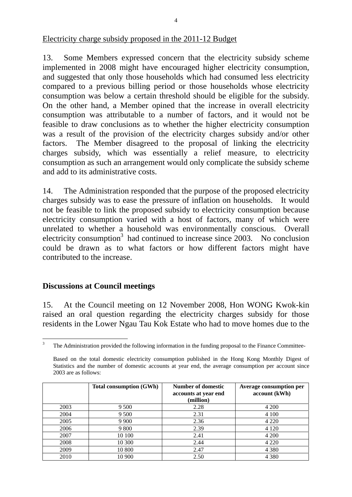Electricity charge subsidy proposed in the 2011-12 Budget

13. Some Members expressed concern that the electricity subsidy scheme implemented in 2008 might have encouraged higher electricity consumption, and suggested that only those households which had consumed less electricity compared to a previous billing period or those households whose electricity consumption was below a certain threshold should be eligible for the subsidy. On the other hand, a Member opined that the increase in overall electricity consumption was attributable to a number of factors, and it would not be feasible to draw conclusions as to whether the higher electricity consumption was a result of the provision of the electricity charges subsidy and/or other factors. The Member disagreed to the proposal of linking the electricity charges subsidy, which was essentially a relief measure, to electricity consumption as such an arrangement would only complicate the subsidy scheme and add to its administrative costs.

14. The Administration responded that the purpose of the proposed electricity charges subsidy was to ease the pressure of inflation on households. It would not be feasible to link the proposed subsidy to electricity consumption because electricity consumption varied with a host of factors, many of which were unrelated to whether a household was environmentally conscious. Overall electricity consumption<sup>3</sup> had continued to increase since  $2003$ . No conclusion could be drawn as to what factors or how different factors might have contributed to the increase.

## **Discussions at Council meetings**

15. At the Council meeting on 12 November 2008, Hon WONG Kwok-kin raised an oral question regarding the electricity charges subsidy for those residents in the Lower Ngau Tau Kok Estate who had to move homes due to the

Based on the total domestic electricity consumption published in the Hong Kong Monthly Digest of Statistics and the number of domestic accounts at year end, the average consumption per account since 2003 are as follows:

|      | <b>Total consumption (GWh)</b> | <b>Number of domestic</b><br>accounts at year end<br>(million) | <b>Average consumption per</b><br>account (kWh) |
|------|--------------------------------|----------------------------------------------------------------|-------------------------------------------------|
| 2003 | 9 500                          | 2.28                                                           | 4 200                                           |
| 2004 | 9 500                          | 2.31                                                           | 4 1 0 0                                         |
| 2005 | 9 9 0 0                        | 2.36                                                           | 4 2 2 0                                         |
| 2006 | 9 800                          | 2.39                                                           | 4 1 2 0                                         |
| 2007 | 10 100                         | 2.41                                                           | 4 200                                           |
| 2008 | 10 300                         | 2.44                                                           | 4 2 2 0                                         |
| 2009 | 10 800                         | 2.47                                                           | 4 3 8 0                                         |
| 2010 | 10 900                         | 2.50                                                           | 4 3 8 0                                         |

 $\frac{1}{3}$ The Administration provided the following information in the funding proposal to the Finance Committee-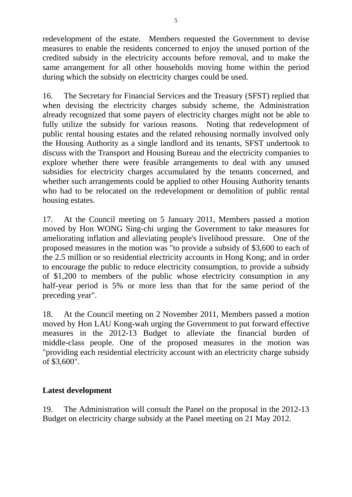redevelopment of the estate. Members requested the Government to devise measures to enable the residents concerned to enjoy the unused portion of the credited subsidy in the electricity accounts before removal, and to make the same arrangement for all other households moving home within the period during which the subsidy on electricity charges could be used.

16. The Secretary for Financial Services and the Treasury (SFST) replied that when devising the electricity charges subsidy scheme, the Administration already recognized that some payers of electricity charges might not be able to fully utilize the subsidy for various reasons. Noting that redevelopment of public rental housing estates and the related rehousing normally involved only the Housing Authority as a single landlord and its tenants, SFST undertook to discuss with the Transport and Housing Bureau and the electricity companies to explore whether there were feasible arrangements to deal with any unused subsidies for electricity charges accumulated by the tenants concerned, and whether such arrangements could be applied to other Housing Authority tenants who had to be relocated on the redevelopment or demolition of public rental housing estates.

17. At the Council meeting on 5 January 2011, Members passed a motion moved by Hon WONG Sing-chi urging the Government to take measures for ameliorating inflation and alleviating people's livelihood pressure. One of the proposed measures in the motion was "to provide a subsidy of \$3,600 to each of the 2.5 million or so residential electricity accounts in Hong Kong; and in order to encourage the public to reduce electricity consumption, to provide a subsidy of \$1,200 to members of the public whose electricity consumption in any half-year period is 5% or more less than that for the same period of the preceding year".

18. At the Council meeting on 2 November 2011, Members passed a motion moved by Hon LAU Kong-wah urging the Government to put forward effective measures in the 2012-13 Budget to alleviate the financial burden of middle-class people. One of the proposed measures in the motion was "providing each residential electricity account with an electricity charge subsidy of \$3,600".

## **Latest development**

19. The Administration will consult the Panel on the proposal in the 2012-13 Budget on electricity charge subsidy at the Panel meeting on 21 May 2012.